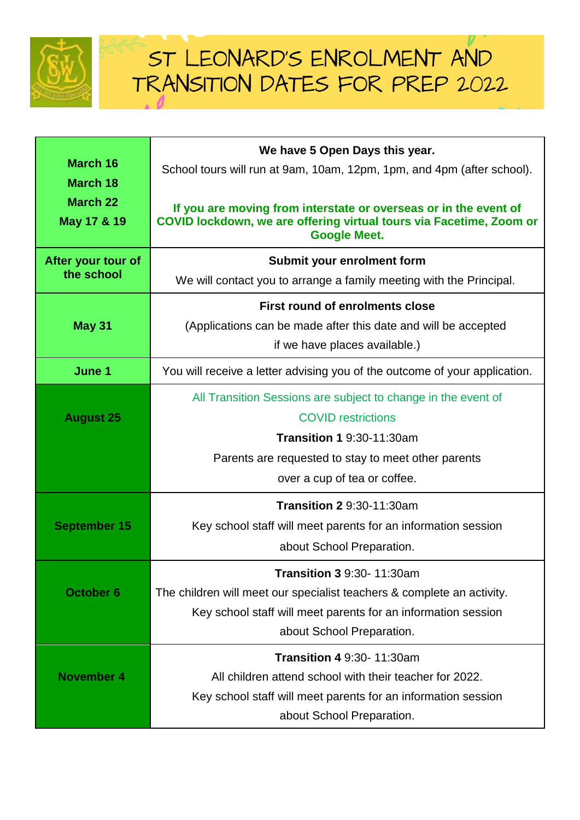

| <b>March 16</b><br><b>March 18</b> | We have 5 Open Days this year.<br>School tours will run at 9am, 10am, 12pm, 1pm, and 4pm (after school).                                                       |
|------------------------------------|----------------------------------------------------------------------------------------------------------------------------------------------------------------|
| <b>March 22</b><br>May 17 & 19     | If you are moving from interstate or overseas or in the event of<br>COVID lockdown, we are offering virtual tours via Facetime, Zoom or<br><b>Google Meet.</b> |
| After your tour of<br>the school   | Submit your enrolment form                                                                                                                                     |
|                                    | We will contact you to arrange a family meeting with the Principal.                                                                                            |
|                                    | First round of enrolments close                                                                                                                                |
| <b>May 31</b>                      | (Applications can be made after this date and will be accepted                                                                                                 |
|                                    | if we have places available.)                                                                                                                                  |
| June 1                             | You will receive a letter advising you of the outcome of your application.                                                                                     |
|                                    | All Transition Sessions are subject to change in the event of                                                                                                  |
| <b>August 25</b>                   | <b>COVID restrictions</b>                                                                                                                                      |
|                                    | <b>Transition 1 9:30-11:30am</b>                                                                                                                               |
|                                    | Parents are requested to stay to meet other parents                                                                                                            |
|                                    | over a cup of tea or coffee.                                                                                                                                   |
|                                    | <b>Transition 2 9:30-11:30am</b>                                                                                                                               |
| <b>September 15</b>                | Key school staff will meet parents for an information session                                                                                                  |
|                                    | about School Preparation.                                                                                                                                      |
|                                    | <b>Transition 3 9:30-11:30am</b>                                                                                                                               |
| <b>October 6</b>                   | The children will meet our specialist teachers & complete an activity.                                                                                         |
|                                    | Key school staff will meet parents for an information session                                                                                                  |
|                                    | about School Preparation.                                                                                                                                      |
|                                    | <b>Transition 4 9:30- 11:30am</b>                                                                                                                              |
| <b>November 4</b>                  | All children attend school with their teacher for 2022.                                                                                                        |
|                                    | Key school staff will meet parents for an information session                                                                                                  |
|                                    | about School Preparation.                                                                                                                                      |